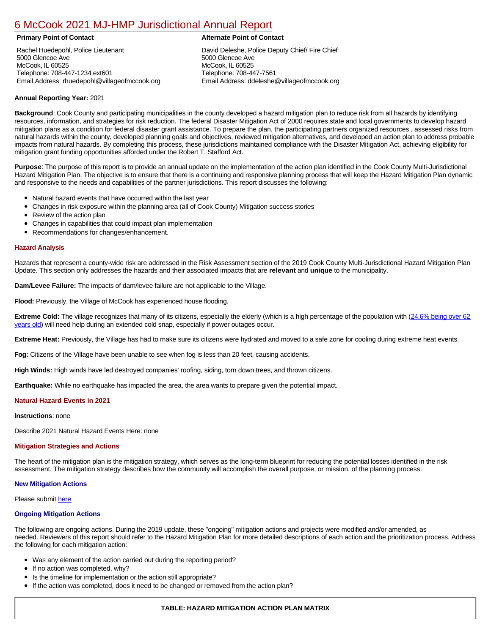# [6 McCook 2021 MJ-HMP Jurisdictional Annual Report](https://mccook.isc-cemp.com/Cemp/Details?id=8322750)

Rachel Huedepohl, Police Lieutenant 5000 Glencoe Ave McCook, IL 60525 Telephone: 708-447-1234 ext601 Email Address: rhuedepohl@villageofmccook.org

# **Primary Point of Contact Alternate Point of Contact**

David Deleshe, Police Deputy Chief/ Fire Chief 5000 Glencoe Ave McCook, IL 60525 Telephone: 708-447-7561 Email Address: ddeleshe@villageofmccook.org

# **Annual Reporting Year:** 2021

**Background**: Cook County and participating municipalities in the county developed a hazard mitigation plan to reduce risk from all hazards by identifying resources, information, and strategies for risk reduction. The federal Disaster Mitigation Act of 2000 requires state and local governments to develop hazard mitigation plans as a condition for federal disaster grant assistance. To prepare the plan, the participating partners organized resources , assessed risks from natural hazards within the county, developed planning goals and objectives, reviewed mitigation alternatives, and developed an action plan to address probable impacts from natural hazards. By completing this process, these jurisdictions maintained compliance with the Disaster Mitigation Act, achieving eligibility for mitigation grant funding opportunities afforded under the Robert T. Stafford Act.

**Purpose**: The purpose of this report is to provide an annual update on the implementation of the action plan identified in the Cook County Multi-Jurisdictional Hazard Mitigation Plan. The objective is to ensure that there is a continuing and responsive planning process that will keep the Hazard Mitigation Plan dynamic and responsive to the needs and capabilities of the partner jurisdictions. This report discusses the following:

- Natural hazard events that have occurred within the last year
- $\bullet$ Changes in risk exposure within the planning area (all of Cook County) Mitigation success stories
- Review of the action plan  $\bullet$
- $\bullet$ Changes in capabilities that could impact plan implementation
- Recommendations for changes/enhancement.  $\bullet$

### **Hazard Analysis**

Hazards that represent a county-wide risk are addressed in the Risk Assessment section of the 2019 Cook County Multi-Jurisdictional Hazard Mitigation Plan Update. This section only addresses the hazards and their associated impacts that are **relevant** and **unique** to the municipality.

**Dam/Levee Failure:** The impacts of dam/levee failure are not applicable to the Village.

**Flood:** Previously, the Village of McCook has experienced house flooding.

**Extreme Cold:** [The village recognizes that many of its citizens, especially the elderly \(which is a high percentage of the population with \(24.6% being over 62](https://factfinder.census.gov/faces/nav/jsf/pages/index.xhtml)) years old) will need help during an extended cold snap, especially if power outages occur.

**Extreme Heat:** Previously, the Village has had to make sure its citizens were hydrated and moved to a safe zone for cooling during extreme heat events.

**Fog:** Citizens of the Village have been unable to see when fog is less than 20 feet, causing accidents.

**High Winds:** High winds have led destroyed companies' roofing, siding, torn down trees, and thrown citizens.

**Earthquake:** While no earthquake has impacted the area, the area wants to prepare given the potential impact.

# **Natural Hazard Events in 2021**

#### **Instructions**: none

Describe 2021 Natural Hazard Events Here: none

#### **Mitigation Strategies and Actions**

The heart of the mitigation plan is the mitigation strategy, which serves as the long-term blueprint for reducing the potential losses identified in the risk assessment. The mitigation strategy describes how the community will accomplish the overall purpose, or mission, of the planning process.

#### **New Mitigation Actions**

Please submit [here](https://integratedsolutions.wufoo.com/forms/mg21jvf0jn639o/)

# **Ongoing Mitigation Actions**

The following are ongoing actions. During the 2019 update, these "ongoing" mitigation actions and projects were modified and/or amended, as needed. Reviewers of this report should refer to the Hazard Mitigation Plan for more detailed descriptions of each action and the prioritization process. Address the following for each mitigation action:

- Was any element of the action carried out during the reporting period?
- If no action was completed, why?
- Is the timeline for implementation or the action still appropriate?
- If the action was completed, does it need to be changed or removed from the action plan?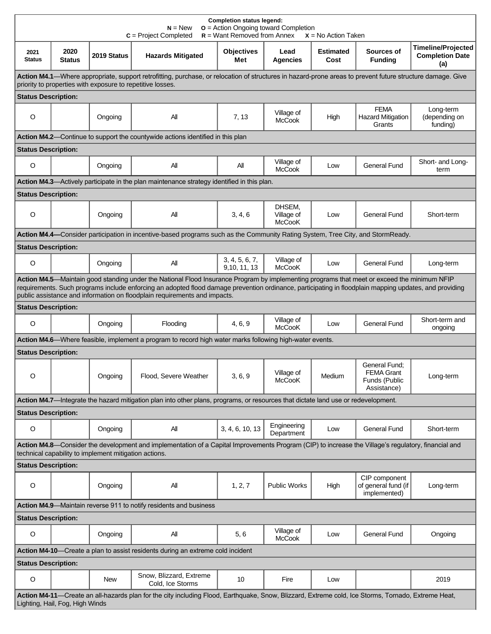| <b>Completion status legend:</b><br>$o$ = Action Ongoing toward Completion<br>$N = New$<br>$R =$ Want Removed from Annex<br>$c$ = Project Completed<br>$X = No$ Action Taken                                                                                                                                                                                                       |                       |                                                       |                                                                                                                                                     |                                |                                       |                          |                                                                    |                                                            |  |  |
|------------------------------------------------------------------------------------------------------------------------------------------------------------------------------------------------------------------------------------------------------------------------------------------------------------------------------------------------------------------------------------|-----------------------|-------------------------------------------------------|-----------------------------------------------------------------------------------------------------------------------------------------------------|--------------------------------|---------------------------------------|--------------------------|--------------------------------------------------------------------|------------------------------------------------------------|--|--|
| 2021<br><b>Status</b>                                                                                                                                                                                                                                                                                                                                                              | 2020<br><b>Status</b> | 2019 Status                                           | <b>Hazards Mitigated</b>                                                                                                                            | <b>Objectives</b><br>Met       | Lead<br><b>Agencies</b>               | <b>Estimated</b><br>Cost | Sources of<br><b>Funding</b>                                       | <b>Timeline/Projected</b><br><b>Completion Date</b><br>(a) |  |  |
| Action M4.1—Where appropriate, support retrofitting, purchase, or relocation of structures in hazard-prone areas to prevent future structure damage. Give<br>priority to properties with exposure to repetitive losses.                                                                                                                                                            |                       |                                                       |                                                                                                                                                     |                                |                                       |                          |                                                                    |                                                            |  |  |
| <b>Status Description:</b>                                                                                                                                                                                                                                                                                                                                                         |                       |                                                       |                                                                                                                                                     |                                |                                       |                          |                                                                    |                                                            |  |  |
| O                                                                                                                                                                                                                                                                                                                                                                                  |                       | Ongoing                                               | Αll                                                                                                                                                 | 7, 13                          | Village of<br><b>McCook</b>           | High                     | <b>FEMA</b><br><b>Hazard Mitigation</b><br>Grants                  | Long-term<br>(depending on<br>funding)                     |  |  |
|                                                                                                                                                                                                                                                                                                                                                                                    |                       |                                                       | Action M4.2—Continue to support the countywide actions identified in this plan                                                                      |                                |                                       |                          |                                                                    |                                                            |  |  |
| <b>Status Description:</b>                                                                                                                                                                                                                                                                                                                                                         |                       |                                                       |                                                                                                                                                     |                                |                                       |                          |                                                                    |                                                            |  |  |
| $\circ$                                                                                                                                                                                                                                                                                                                                                                            |                       | Ongoing                                               | All                                                                                                                                                 | All                            | Village of<br>McCook                  | Low                      | <b>General Fund</b>                                                | Short- and Long-<br>term                                   |  |  |
|                                                                                                                                                                                                                                                                                                                                                                                    |                       |                                                       | <b>Action M4.3</b> —Actively participate in the plan maintenance strategy identified in this plan.                                                  |                                |                                       |                          |                                                                    |                                                            |  |  |
| <b>Status Description:</b>                                                                                                                                                                                                                                                                                                                                                         |                       |                                                       |                                                                                                                                                     |                                |                                       |                          |                                                                    |                                                            |  |  |
| $\circ$                                                                                                                                                                                                                                                                                                                                                                            |                       | Ongoing                                               | All                                                                                                                                                 | 3, 4, 6                        | DHSEM,<br>Village of<br><b>McCooK</b> | Low                      | <b>General Fund</b>                                                | Short-term                                                 |  |  |
|                                                                                                                                                                                                                                                                                                                                                                                    |                       |                                                       | Action M4.4—Consider participation in incentive-based programs such as the Community Rating System, Tree City, and StormReady.                      |                                |                                       |                          |                                                                    |                                                            |  |  |
| <b>Status Description:</b>                                                                                                                                                                                                                                                                                                                                                         |                       |                                                       |                                                                                                                                                     |                                |                                       |                          |                                                                    |                                                            |  |  |
| $\circ$                                                                                                                                                                                                                                                                                                                                                                            |                       | Ongoing                                               | All                                                                                                                                                 | 3, 4, 5, 6, 7,<br>9,10, 11, 13 | Village of<br><b>McCooK</b>           | Low                      | <b>General Fund</b>                                                | Long-term                                                  |  |  |
| Action M4.5—Maintain good standing under the National Flood Insurance Program by implementing programs that meet or exceed the minimum NFIP<br>requirements. Such programs include enforcing an adopted flood damage prevention ordinance, participating in floodplain mapping updates, and providing<br>public assistance and information on floodplain requirements and impacts. |                       |                                                       |                                                                                                                                                     |                                |                                       |                          |                                                                    |                                                            |  |  |
| <b>Status Description:</b>                                                                                                                                                                                                                                                                                                                                                         |                       |                                                       |                                                                                                                                                     |                                |                                       |                          |                                                                    |                                                            |  |  |
| O                                                                                                                                                                                                                                                                                                                                                                                  |                       | Ongoing                                               | Flooding                                                                                                                                            | 4, 6, 9                        | Village of<br><b>McCooK</b>           | Low                      | General Fund                                                       | Short-term and<br>ongoing                                  |  |  |
|                                                                                                                                                                                                                                                                                                                                                                                    |                       |                                                       | Action M4.6—Where feasible, implement a program to record high water marks following high-water events.                                             |                                |                                       |                          |                                                                    |                                                            |  |  |
| <b>Status Description:</b>                                                                                                                                                                                                                                                                                                                                                         |                       |                                                       |                                                                                                                                                     |                                |                                       |                          |                                                                    |                                                            |  |  |
| O                                                                                                                                                                                                                                                                                                                                                                                  |                       | Ongoing                                               | Flood, Severe Weather                                                                                                                               | 3, 6, 9                        | Village of<br><b>McCooK</b>           | Medium                   | General Fund;<br><b>FEMA Grant</b><br>Funds (Public<br>Assistance) | Long-term                                                  |  |  |
|                                                                                                                                                                                                                                                                                                                                                                                    |                       |                                                       | Action M4.7-Integrate the hazard mitigation plan into other plans, programs, or resources that dictate land use or redevelopment.                   |                                |                                       |                          |                                                                    |                                                            |  |  |
| <b>Status Description:</b>                                                                                                                                                                                                                                                                                                                                                         |                       |                                                       |                                                                                                                                                     |                                |                                       |                          |                                                                    |                                                            |  |  |
| O                                                                                                                                                                                                                                                                                                                                                                                  |                       | Ongoing                                               | All                                                                                                                                                 | 3, 4, 6, 10, 13                | Engineering<br>Department             | Low                      | <b>General Fund</b>                                                | Short-term                                                 |  |  |
|                                                                                                                                                                                                                                                                                                                                                                                    |                       | technical capability to implement mitigation actions. | Action M4.8—Consider the development and implementation of a Capital Improvements Program (CIP) to increase the Village's regulatory, financial and |                                |                                       |                          |                                                                    |                                                            |  |  |
| <b>Status Description:</b>                                                                                                                                                                                                                                                                                                                                                         |                       |                                                       |                                                                                                                                                     |                                |                                       |                          |                                                                    |                                                            |  |  |
| $\circ$                                                                                                                                                                                                                                                                                                                                                                            |                       | Ongoing                                               | All                                                                                                                                                 | 1, 2, 7                        | <b>Public Works</b>                   | High                     | CIP component<br>of general fund (if<br>implemented)               | Long-term                                                  |  |  |
|                                                                                                                                                                                                                                                                                                                                                                                    |                       |                                                       | Action M4.9-Maintain reverse 911 to notify residents and business                                                                                   |                                |                                       |                          |                                                                    |                                                            |  |  |
| <b>Status Description:</b>                                                                                                                                                                                                                                                                                                                                                         |                       |                                                       |                                                                                                                                                     |                                |                                       |                          |                                                                    |                                                            |  |  |
| $\circ$                                                                                                                                                                                                                                                                                                                                                                            |                       | Ongoing                                               | All                                                                                                                                                 | 5, 6                           | Village of<br><b>McCook</b>           | Low                      | <b>General Fund</b>                                                | Ongoing                                                    |  |  |
|                                                                                                                                                                                                                                                                                                                                                                                    |                       |                                                       | Action M4-10-Create a plan to assist residents during an extreme cold incident                                                                      |                                |                                       |                          |                                                                    |                                                            |  |  |
| <b>Status Description:</b>                                                                                                                                                                                                                                                                                                                                                         |                       |                                                       |                                                                                                                                                     |                                |                                       |                          |                                                                    |                                                            |  |  |
| $\circ$                                                                                                                                                                                                                                                                                                                                                                            |                       | New                                                   | Snow, Blizzard, Extreme<br>Cold, Ice Storms                                                                                                         | 10 <sup>°</sup>                | Fire                                  | Low                      |                                                                    | 2019                                                       |  |  |
| Action M4-11—Create an all-hazards plan for the city including Flood, Earthquake, Snow, Blizzard, Extreme cold, Ice Storms, Tornado, Extreme Heat,<br>Lighting, Hail, Fog, High Winds                                                                                                                                                                                              |                       |                                                       |                                                                                                                                                     |                                |                                       |                          |                                                                    |                                                            |  |  |